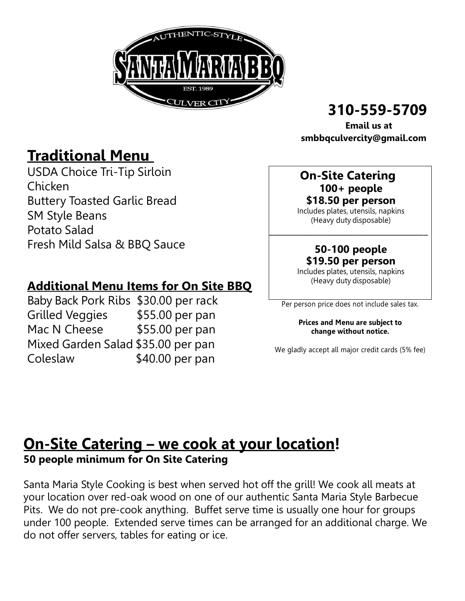

# 310-559-5709

 Email us at smbbqculvercity@gmail.com

# Traditional Menu

USDA Choice Tri-Tip Sirloin Chicken Buttery Toasted Garlic Bread SM Style Beans Potato Salad Fresh Mild Salsa & BBQ Sauce

### Additional Menu Items for On Site BBQ

Baby Back Pork Ribs \$30.00 per rack Grilled Veggies \$55.00 per pan Mac N Cheese \$55.00 per pan Mixed Garden Salad \$35.00 per pan Coleslaw \$40.00 per pan

#### On-Site Catering 100+ people \$18.50 per person

Includes plates, utensils, napkins (Heavy duty disposable)

\_\_\_\_\_\_\_\_\_\_\_\_\_\_\_\_\_\_\_\_\_\_\_\_\_\_\_\_\_\_\_\_\_\_\_\_

#### 50-100 people \$19.50 per person

Includes plates, utensils, napkins (Heavy duty disposable)

Per person price does not include sales tax.

#### Prices and Menu are subject to change without notice.

We gladly accept all major credit cards (5% fee)

## On-Site Catering – we cook at your location! 50 people minimum for On Site Catering

Santa Maria Style Cooking is best when served hot off the grill! We cook all meats at your location over red-oak wood on one of our authentic Santa Maria Style Barbecue Pits. We do not pre-cook anything. Buffet serve time is usually one hour for groups under 100 people. Extended serve times can be arranged for an additional charge. We do not offer servers, tables for eating or ice.